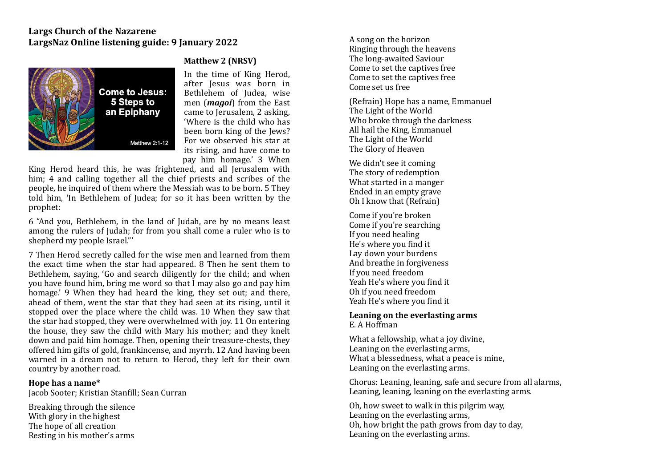# **Largs Church of the Nazarene** LargsNaz Online listening guide: 9 Ianuary 2022



## **Matthew 2 (NRSV)**

In the time of King Herod, after Jesus was born in Bethlehem of Judea, wise men (*magoi*) from the East came to Jerusalem, 2 asking, 'Where is the child who has been born king of the lews? For we observed his star at its rising, and have come to pay him homage.' 3 When 

King Herod heard this, he was frightened, and all Jerusalem with him; 4 and calling together all the chief priests and scribes of the people, he inquired of them where the Messiah was to be born. 5 They told him, 'In Bethlehem of Judea; for so it has been written by the prophet: 

6 "And you, Bethlehem, in the land of Judah, are by no means least among the rulers of Judah; for from you shall come a ruler who is to shepherd my people Israel."'

7 Then Herod secretly called for the wise men and learned from them the exact time when the star had appeared. 8 Then he sent them to Bethlehem, saying, 'Go and search diligently for the child; and when you have found him, bring me word so that I may also go and pay him homage.' 9 When they had heard the king, they set out; and there, ahead of them, went the star that they had seen at its rising, until it stopped over the place where the child was. 10 When they saw that the star had stopped, they were overwhelmed with joy. 11 On entering the house, they saw the child with Mary his mother; and they knelt down and paid him homage. Then, opening their treasure-chests, they offered him gifts of gold, frankincense, and myrrh. 12 And having been warned in a dream not to return to Herod, they left for their own country by another road.

#### Hope has a name\*

Jacob Sooter: Kristian Stanfill: Sean Curran

Breaking through the silence With glory in the highest The hope of all creation Resting in his mother's arms

A song on the horizon Ringing through the heavens The long-awaited Saviour Come to set the captives free Come to set the captives free Come set us free

(Refrain) Hope has a name, Emmanuel The Light of the World Who broke through the darkness All hail the King, Emmanuel The Light of the World The Glory of Heaven

We didn't see it coming The story of redemption What started in a manger Ended in an empty grave Oh I know that (Refrain)

Come if you're broken Come if you're searching If you need healing He's where you find it Lay down your burdens And breathe in forgiveness If you need freedom Yeah He's where you find it Oh if you need freedom Yeah He's where you find it

#### Leaning on the everlasting arms E. A Hoffman

What a fellowship, what a joy divine, Leaning on the everlasting arms. What a blessedness, what a peace is mine, Leaning on the everlasting arms.

Chorus: Leaning, leaning, safe and secure from all alarms, Leaning, leaning, leaning on the everlasting arms.

Oh, how sweet to walk in this pilgrim way. Leaning on the everlasting arms, Oh, how bright the path grows from day to day, Leaning on the everlasting arms.